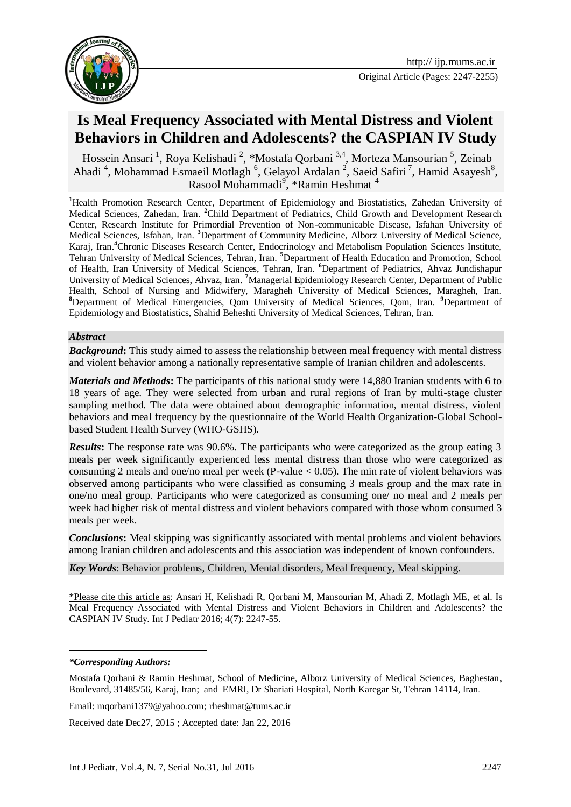

# **Is Meal Frequency Associated with Mental Distress and Violent Behaviors in Children and Adolescents? the CASPIAN IV Study**

Hossein Ansari<sup>1</sup>, Roya Kelishadi<sup>2</sup>, \*Mostafa Qorbani<sup>3,4</sup>, Morteza Mansourian<sup>5</sup>, Zeinab Ahadi<sup>4</sup>, Mohammad Esmaeil Motlagh<sup>6</sup>, Gelayol Ardalan<sup>2</sup>, Saeid Safiri<sup>7</sup>, Hamid Asayesh<sup>8</sup>, Rasool Mohammadi<sup>9</sup>, \*Ramin Heshmat<sup>4</sup>

**<sup>1</sup>**Health Promotion Research Center, Department of Epidemiology and Biostatistics, Zahedan University of Medical Sciences, Zahedan, Iran. **<sup>2</sup>**Child Department of Pediatrics, Child Growth and Development Research Center, Research Institute for Primordial Prevention of Non-communicable Disease, Isfahan University of Medical Sciences, Isfahan, Iran. **<sup>3</sup>**Department of Community Medicine, Alborz University of Medical Science, Karaj, Iran.**<sup>4</sup>**Chronic Diseases Research Center, Endocrinology and Metabolism Population Sciences Institute, Tehran University of Medical Sciences, Tehran, Iran. **<sup>5</sup>**Department of Health Education and Promotion, School of Health, Iran University of Medical Sciences, Tehran, Iran. **<sup>6</sup>**Department of Pediatrics, Ahvaz Jundishapur University of Medical Sciences, Ahvaz, Iran. **<sup>7</sup>**Managerial Epidemiology Research Center, Department of Public Health, School of Nursing and Midwifery, Maragheh University of Medical Sciences, Maragheh, Iran. **<sup>8</sup>**Department of Medical Emergencies, Qom University of Medical Sciences, Qom, Iran. **<sup>9</sup>**Department of Epidemiology and Biostatistics, Shahid Beheshti University of Medical Sciences, Tehran, Iran.

#### *Abstract*

*Background*: This study aimed to assess the relationship between meal frequency with mental distress and violent behavior among a nationally representative sample of Iranian children and adolescents.

*Materials and Methods***:** The participants of this national study were 14,880 Iranian students with 6 to 18 years of age. They were selected from urban and rural regions of Iran by multi-stage cluster sampling method. The data were obtained about demographic information, mental distress, violent behaviors and meal frequency by the questionnaire of the World Health Organization-Global Schoolbased Student Health Survey (WHO-GSHS).

*Results*: The response rate was 90.6%. The participants who were categorized as the group eating 3 meals per week significantly experienced less mental distress than those who were categorized as consuming 2 meals and one/no meal per week (P-value  $< 0.05$ ). The min rate of violent behaviors was observed among participants who were classified as consuming 3 meals group and the max rate in one/no meal group. Participants who were categorized as consuming one/ no meal and 2 meals per week had higher risk of mental distress and violent behaviors compared with those whom consumed 3 meals per week.

*Conclusions***:** Meal skipping was significantly associated with mental problems and violent behaviors among Iranian children and adolescents and this association was independent of known confounders.

*Key Words*: Behavior problems, Children, [Mental disorders](http://www.ncbi.nlm.nih.gov/mesh/68001523), Meal frequency, Meal skipping.

\*Please cite this article as: Ansari H, Kelishadi R, Qorbani M, Mansourian M, Ahadi Z, Motlagh ME, et al. Is Meal Frequency Associated with Mental Distress and Violent Behaviors in Children and Adolescents? the CASPIAN IV Study. Int J Pediatr 2016; 4(7): 2247-55.

-

Email: [mqorbani1379@yahoo.com;](mailto:mqorbani1379@yahoo.com) rheshmat@tums.ac.ir

Received date Dec27, 2015 ; Accepted date: Jan 22, 2016

*<sup>\*</sup>Corresponding Authors:*

Mostafa Qorbani & Ramin Heshmat, School of Medicine, Alborz University of Medical Sciences, Baghestan, Boulevard, 31485/56, Karaj, Iran; and EMRI, Dr Shariati Hospital, North Karegar St, Tehran 14114, Iran.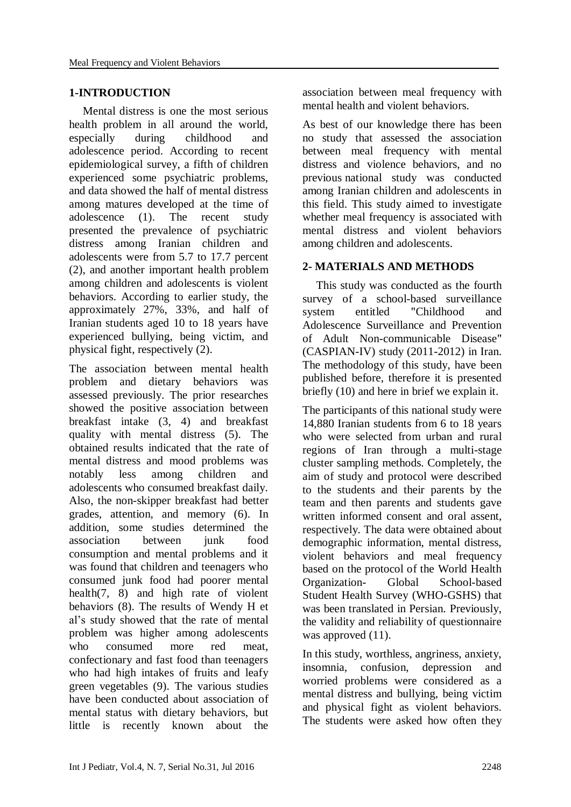#### **1-INTRODUCTION**

Mental distress is one the most serious health problem in all around the world, especially during childhood and adolescence period. According to recent epidemiological survey, a fifth of children experienced some psychiatric problems, and data showed the half of mental distress among matures developed at the time of adolescence (1). The recent study presented the prevalence of psychiatric distress among Iranian children and adolescents were from 5.7 to 17.7 percent (2), and another important health problem among children and adolescents is violent behaviors. According to earlier study, the approximately 27%, 33%, and half of Iranian students aged 10 to 18 years have experienced bullying, being victim, and physical fight, respectively (2).

The association between mental health problem and dietary behaviors was assessed previously. The prior researches showed the positive association between breakfast intake (3, 4) and breakfast quality with mental distress (5). The obtained results indicated that the rate of mental distress and mood problems was notably less among children and adolescents who consumed breakfast daily. Also, the non-skipper breakfast had better grades, attention, and memory (6). In addition, some studies determined the association between junk food consumption and mental problems and it was found that children and teenagers who consumed junk food had poorer mental health(7, 8) and high rate of violent behaviors (8). The results of Wendy H et al's study showed that the rate of mental problem was higher among adolescents who consumed more red meat, confectionary and fast food than teenagers who had high intakes of fruits and leafy green vegetables (9). The various studies have been conducted about association of mental status with dietary behaviors, but little is recently known about the

association between meal frequency with mental health and violent behaviors.

As best of our knowledge there has been no study that assessed the association between meal frequency with mental distress and violence behaviors, and no previous national study was conducted among Iranian children and adolescents in this field. This study aimed to investigate whether meal frequency is associated with mental distress and violent behaviors among children and adolescents.

# **2- MATERIALS AND METHODS**

This study was conducted as the fourth survey of a school-based surveillance system entitled "Childhood and Adolescence Surveillance and Prevention of Adult Non-communicable Disease" (CASPIAN-IV) study (2011-2012) in Iran. The methodology of this study, have been published before, therefore it is presented briefly (10) and here in brief we explain it.

The participants of this national study were 14,880 Iranian students from 6 to 18 years who were selected from urban and rural regions of Iran through a multi-stage cluster sampling methods. Completely, the aim of study and protocol were described to the students and their parents by the team and then parents and students gave written informed consent and oral assent, respectively. The data were obtained about demographic information, mental distress, violent behaviors and meal frequency based on the protocol of the World Health Organization- Global School-based Student Health Survey (WHO-GSHS) that was been translated in Persian. Previously, the validity and reliability of questionnaire was approved  $(11)$ .

In this study, worthless, angriness, anxiety, insomnia, confusion, depression and worried problems were considered as a mental distress and bullying, being victim and physical fight as violent behaviors. The students were asked how often they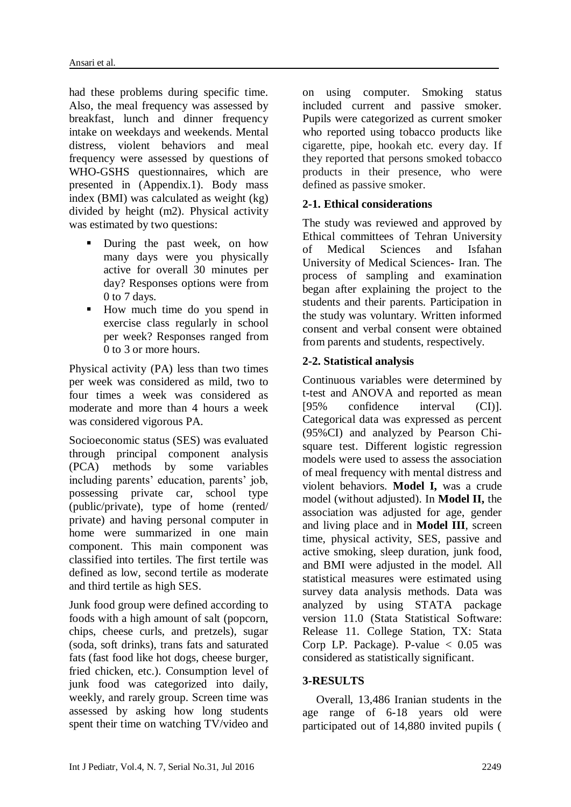had these problems during specific time. Also, the meal frequency was assessed by breakfast, lunch and dinner frequency intake on weekdays and weekends. Mental distress, violent behaviors and meal frequency were assessed by questions of WHO-GSHS questionnaires, which are presented in (Appendix.1). Body mass index (BMI) was calculated as weight (kg) divided by height (m2). Physical activity was estimated by two questions:

- **During the past week, on how** many days were you physically active for overall 30 minutes per day? Responses options were from 0 to 7 days.
- How much time do you spend in exercise class regularly in school per week? Responses ranged from 0 to 3 or more hours.

Physical activity (PA) less than two times per week was considered as mild, two to four times a week was considered as moderate and more than 4 hours a week was considered vigorous PA.

Socioeconomic status (SES) was evaluated through principal component analysis (PCA) methods by some variables including parents' education, parents' job, possessing private car, school type (public/private), type of home (rented/ private) and having personal computer in home were summarized in one main component. This main component was classified into tertiles. The first tertile was defined as low, second tertile as moderate and third tertile as high SES.

Junk food group were defined according to foods with a high amount of salt (popcorn, chips, cheese curls, and pretzels), sugar (soda, soft drinks), trans fats and saturated fats (fast food like hot dogs, cheese burger, fried chicken, etc.). Consumption level of junk food was categorized into daily, weekly, and rarely group. Screen time was assessed by asking how long students spent their time on watching TV/video and on using computer. Smoking status included current and passive smoker. Pupils were categorized as current smoker who reported using tobacco products like cigarette, pipe, hookah etc. every day. If they reported that persons smoked tobacco products in their presence, who were defined as passive smoker.

## **2-1. Ethical considerations**

The study was reviewed and approved by Ethical committees of Tehran University of Medical Sciences and Isfahan University of Medical Sciences- Iran. The process of sampling and examination began after explaining the project to the students and their parents. Participation in the study was voluntary. Written informed consent and verbal consent were obtained from parents and students, respectively.

# **2-2. Statistical analysis**

Continuous variables were determined by t-test and ANOVA and reported as mean [95% confidence interval (CI)]. Categorical data was expressed as percent (95%CI) and analyzed by Pearson Chisquare test. Different logistic regression models were used to assess the association of meal frequency with mental distress and violent behaviors. **Model I,** was a crude model (without adjusted). In **Model II,** the association was adjusted for age, gender and living place and in **Model III**, screen time, physical activity, SES, passive and active smoking, sleep duration, junk food, and BMI were adjusted in the model. All statistical measures were estimated using survey data analysis methods. Data was analyzed by using STATA package version 11.0 (Stata Statistical Software: Release 11. College Station, TX: Stata Corp LP. Package). P-value  $< 0.05$  was considered as statistically significant.

## **3-RESULTS**

Overall, 13,486 Iranian students in the age range of 6-18 years old were participated out of 14,880 invited pupils (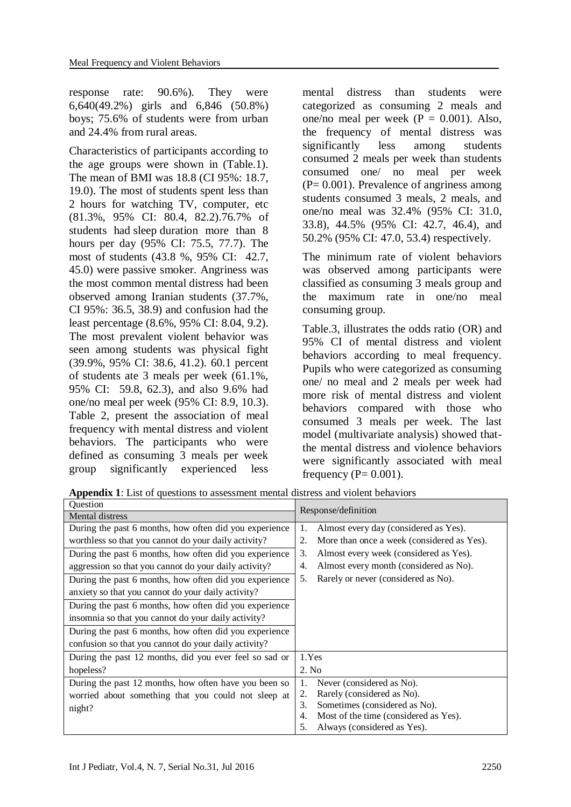response rate: 90.6%). They were 6,640(49.2%) girls and 6,846 (50.8%) boys; 75.6% of students were from urban and 24.4% from rural areas.

Characteristics of participants according to the age groups were shown in (Table.1). The mean of BMI was 18.8 (CI 95%: 18.7, 19.0). The most of students spent less than 2 hours for watching TV, computer, etc (81.3%, 95% CI: 80.4, 82.2).76.7% of students had sleep duration more than 8 hours per day (95% CI: 75.5, 77.7). The most of students (43.8 %, 95% CI: 42.7, 45.0) were passive smoker. Angriness was the most common mental distress had been observed among Iranian students (37.7%, CI 95%: 36.5, 38.9) and confusion had the least percentage (8.6%, 95% CI: 8.04, 9.2). The most prevalent violent behavior was seen among students was physical fight (39.9%, 95% CI: 38.6, 41.2). 60.1 percent of students ate 3 meals per week (61.1%, 95% CI: 59.8, 62.3), and also 9.6% had one/no meal per week (95% CI: 8.9, 10.3). Table 2, present the association of meal frequency with mental distress and violent behaviors. The participants who were defined as consuming 3 meals per week group significantly experienced less

mental distress than students were categorized as consuming 2 meals and one/no meal per week  $(P = 0.001)$ . Also, the frequency of mental distress was significantly less among students consumed 2 meals per week than students consumed one/ no meal per week  $(P= 0.001)$ . Prevalence of angriness among students consumed 3 meals, 2 meals, and one/no meal was 32.4% (95% CI: 31.0, 33.8), 44.5% (95% CI: 42.7, 46.4), and 50.2% (95% CI: 47.0, 53.4) respectively.

The minimum rate of violent behaviors was observed among participants were classified as consuming 3 meals group and the maximum rate in one/no meal consuming group.

Table.3, illustrates the odds ratio (OR) and 95% CI of mental distress and violent behaviors according to meal frequency. Pupils who were categorized as consuming one/ no meal and 2 meals per week had more risk of mental distress and violent behaviors compared with those who consumed 3 meals per week. The last model (multivariate analysis) showed thatthe mental distress and violence behaviors were significantly associated with meal frequency ( $P = 0.001$ ).

**Appendix 1**: List of questions to assessment mental distress and violent behaviors

| <b>Ouestion</b>                                        | Response/definition                              |  |  |
|--------------------------------------------------------|--------------------------------------------------|--|--|
| Mental distress                                        |                                                  |  |  |
| During the past 6 months, how often did you experience | Almost every day (considered as Yes).<br>1.      |  |  |
| worthless so that you cannot do your daily activity?   | 2.<br>More than once a week (considered as Yes). |  |  |
| During the past 6 months, how often did you experience | 3.<br>Almost every week (considered as Yes).     |  |  |
| aggression so that you cannot do your daily activity?  | Almost every month (considered as No).<br>4.     |  |  |
| During the past 6 months, how often did you experience | Rarely or never (considered as No).<br>5.        |  |  |
| anxiety so that you cannot do your daily activity?     |                                                  |  |  |
| During the past 6 months, how often did you experience |                                                  |  |  |
| insomnia so that you cannot do your daily activity?    |                                                  |  |  |
| During the past 6 months, how often did you experience |                                                  |  |  |
| confusion so that you cannot do your daily activity?   |                                                  |  |  |
| During the past 12 months, did you ever feel so sad or | 1.Yes                                            |  |  |
| hopeless?                                              | 2. No                                            |  |  |
| During the past 12 months, how often have you been so  | Never (considered as No).<br>1.                  |  |  |
| worried about something that you could not sleep at    | 2.<br>Rarely (considered as No).                 |  |  |
| night?                                                 | Sometimes (considered as No).<br>3.              |  |  |
|                                                        | Most of the time (considered as Yes).<br>4.      |  |  |
|                                                        | 5.<br>Always (considered as Yes).                |  |  |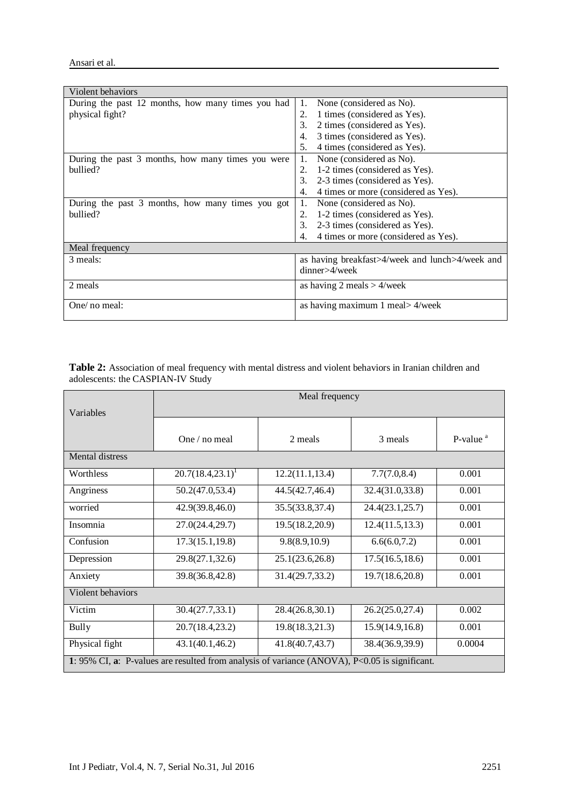| Violent behaviors                                 |                                                  |  |
|---------------------------------------------------|--------------------------------------------------|--|
| During the past 12 months, how many times you had | 1.<br>None (considered as No).                   |  |
| physical fight?                                   | 1 times (considered as Yes).<br>2.               |  |
|                                                   | 2 times (considered as Yes).<br>3.               |  |
|                                                   | $\overline{4}$ .<br>3 times (considered as Yes). |  |
|                                                   | 5.<br>4 times (considered as Yes).               |  |
| During the past 3 months, how many times you were | None (considered as No).<br>1.                   |  |
| bullied?                                          | 1-2 times (considered as Yes).<br>2.             |  |
|                                                   | 3.<br>2-3 times (considered as Yes).             |  |
|                                                   | 4 times or more (considered as Yes).<br>4.       |  |
| During the past 3 months, how many times you got  | 1.<br>None (considered as No).                   |  |
| bullied?                                          | 1-2 times (considered as Yes).<br>2.             |  |
|                                                   | 3.<br>2-3 times (considered as Yes).             |  |
|                                                   | 4 times or more (considered as Yes).<br>4.       |  |
| Meal frequency                                    |                                                  |  |
| 3 meals:                                          | as having breakfast>4/week and lunch>4/week and  |  |
|                                                   | dinner>4/week                                    |  |
| 2 meals                                           | as having 2 meals $> 4$ /week                    |  |
|                                                   |                                                  |  |
| One/ no meal:                                     | as having maximum 1 meal> 4/week                 |  |
|                                                   |                                                  |  |

**Table 2:** Association of meal frequency with mental distress and violent behaviors in Iranian children and adolescents: the CASPIAN-IV Study

|                                                                                              | Meal frequency      |                  |                  |                      |  |  |  |
|----------------------------------------------------------------------------------------------|---------------------|------------------|------------------|----------------------|--|--|--|
| Variables                                                                                    |                     |                  |                  |                      |  |  |  |
|                                                                                              |                     |                  |                  |                      |  |  |  |
|                                                                                              | One / no meal       | 2 meals          | 3 meals          | P-value <sup>a</sup> |  |  |  |
| Mental distress                                                                              |                     |                  |                  |                      |  |  |  |
| Worthless                                                                                    | $20.7(18.4,23.1)^1$ | 12.2(11.1, 13.4) | 7.7(7.0, 8.4)    | 0.001                |  |  |  |
| Angriness                                                                                    | 50.2(47.0, 53.4)    | 44.5(42.7,46.4)  | 32.4(31.0,33.8)  | 0.001                |  |  |  |
| worried                                                                                      | 42.9(39.8,46.0)     | 35.5(33.8,37.4)  | 24.4(23.1, 25.7) | 0.001                |  |  |  |
| Insomnia                                                                                     | 27.0(24.4,29.7)     | 19.5(18.2,20.9)  | 12.4(11.5, 13.3) | 0.001                |  |  |  |
| Confusion                                                                                    | 17.3(15.1, 19.8)    | 9.8(8.9,10.9)    | 6.6(6.0, 7.2)    | 0.001                |  |  |  |
| Depression                                                                                   | 29.8(27.1,32.6)     | 25.1(23.6, 26.8) | 17.5(16.5, 18.6) | 0.001                |  |  |  |
| Anxiety                                                                                      | 39.8(36.8,42.8)     | 31.4(29.7,33.2)  | 19.7(18.6,20.8)  | 0.001                |  |  |  |
| Violent behaviors                                                                            |                     |                  |                  |                      |  |  |  |
| Victim                                                                                       | 30.4(27.7, 33.1)    | 28.4(26.8,30.1)  | 26.2(25.0, 27.4) | 0.002                |  |  |  |
| Bully                                                                                        | 20.7(18.4,23.2)     | 19.8(18.3,21.3)  | 15.9(14.9, 16.8) | 0.001                |  |  |  |
| Physical fight                                                                               | 43.1(40.1, 46.2)    | 41.8(40.7,43.7)  | 38.4(36.9,39.9)  | 0.0004               |  |  |  |
| 1:95% CI, a: P-values are resulted from analysis of variance (ANOVA), P<0.05 is significant. |                     |                  |                  |                      |  |  |  |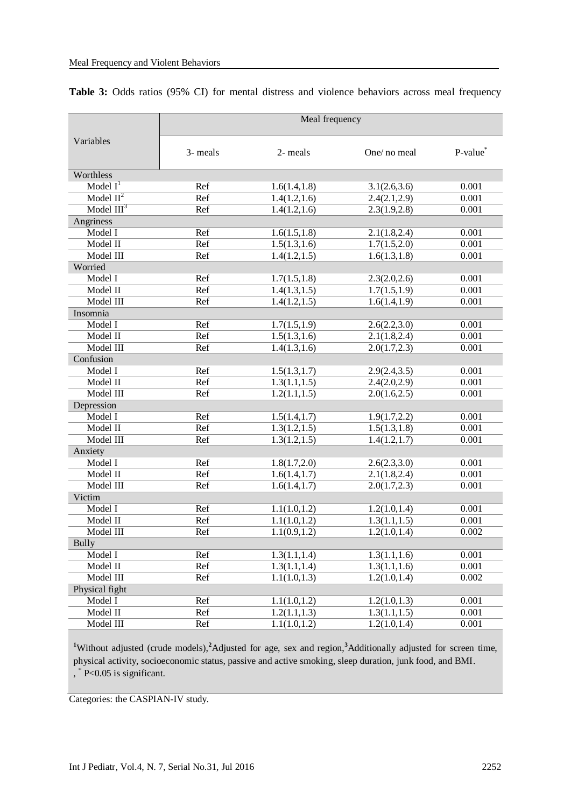| Variables      | Meal frequency          |               |               |                      |
|----------------|-------------------------|---------------|---------------|----------------------|
|                | 3- meals                | 2- meals      | One/ no meal  | P-value <sup>®</sup> |
| Worthless      |                         |               |               |                      |
| Model $I1$     | Ref                     | 1.6(1.4, 1.8) | 3.1(2.6, 3.6) | 0.001                |
| Model $II^2$   | Ref                     | 1.4(1.2, 1.6) | 2.4(2.1, 2.9) | 0.001                |
| Model $III3$   | Ref                     | 1.4(1.2, 1.6) | 2.3(1.9, 2.8) | 0.001                |
| Angriness      |                         |               |               |                      |
| Model I        | Ref                     | 1.6(1.5, 1.8) | 2.1(1.8, 2.4) | 0.001                |
| Model II       | Ref                     | 1.5(1.3, 1.6) | 1.7(1.5,2.0)  | 0.001                |
| Model III      | Ref                     | 1.4(1.2, 1.5) | 1.6(1.3, 1.8) | 0.001                |
| Worried        |                         |               |               |                      |
| Model I        | Ref                     | 1.7(1.5, 1.8) | 2.3(2.0, 2.6) | 0.001                |
| Model II       | Ref                     | 1.4(1.3, 1.5) | 1.7(1.5,1.9)  | 0.001                |
| Model III      | Ref                     | 1.4(1.2, 1.5) | 1.6(1.4, 1.9) | 0.001                |
| Insomnia       |                         |               |               |                      |
| Model I        | Ref                     | 1.7(1.5, 1.9) | 2.6(2.2,3.0)  | 0.001                |
| Model II       | Ref                     | 1.5(1.3, 1.6) | 2.1(1.8, 2.4) | 0.001                |
| Model III      | Ref                     | 1.4(1.3, 1.6) | 2.0(1.7, 2.3) | 0.001                |
| Confusion      |                         |               |               |                      |
| Model I        | Ref                     | 1.5(1.3, 1.7) | 2.9(2.4, 3.5) | 0.001                |
| Model II       | Ref                     | 1.3(1.1, 1.5) | 2.4(2.0, 2.9) | 0.001                |
| Model III      | Ref                     | 1.2(1.1, 1.5) | 2.0(1.6, 2.5) | 0.001                |
| Depression     |                         |               |               |                      |
| Model I        | Ref                     | 1.5(1.4, 1.7) | 1.9(1.7, 2.2) | 0.001                |
| Model II       | Ref                     | 1.3(1.2, 1.5) | 1.5(1.3, 1.8) | 0.001                |
| Model III      | Ref                     | 1.3(1.2, 1.5) | 1.4(1.2, 1.7) | 0.001                |
| Anxiety        |                         |               |               |                      |
| Model I        | Ref                     | 1.8(1.7, 2.0) | 2.6(2.3,3.0)  | 0.001                |
| Model II       | Ref                     | 1.6(1.4, 1.7) | 2.1(1.8, 2.4) | 0.001                |
| Model III      | Ref                     | 1.6(1.4, 1.7) | 2.0(1.7, 2.3) | 0.001                |
| Victim         |                         |               |               |                      |
| Model I        | Ref                     | 1.1(1.0, 1.2) | 1.2(1.0, 1.4) | 0.001                |
| Model II       | Ref                     | 1.1(1.0, 1.2) | 1.3(1.1, 1.5) | 0.001                |
| Model III      | Ref                     | 1.1(0.9, 1.2) | 1.2(1.0, 1.4) | 0.002                |
| Bully          |                         |               |               |                      |
| Model I        | Ref                     | 1.3(1.1, 1.4) | 1.3(1.1, 1.6) | 0.001                |
| Model II       | Ref                     | 1.3(1.1, 1.4) | 1.3(1.1, 1.6) | 0.001                |
| Model III      | Ref                     | 1.1(1.0, 1.3) | 1.2(1.0, 1.4) | 0.002                |
| Physical fight |                         |               |               |                      |
| Model I        | $\overline{\text{Ref}}$ | 1.1(1.0, 1.2) | 1.2(1.0, 1.3) | 0.001                |
| Model II       | Ref                     | 1.2(1.1, 1.3) | 1.3(1.1, 1.5) | 0.001                |
| Model III      | Ref                     | 1.1(1.0, 1.2) | 1.2(1.0, 1.4) | 0.001                |

#### Table 3: Odds ratios (95% CI) for mental distress and violence behaviors across meal frequency

**<sup>1</sup>**Without adjusted (crude models),**<sup>2</sup>**Adjusted for age, sex and region,**<sup>3</sup>**Additionally adjusted for screen time, physical activity, socioeconomic status, passive and active smoking, sleep duration, junk food, and BMI. , \* P<0.05 is significant.

Categories: the CASPIAN-IV study.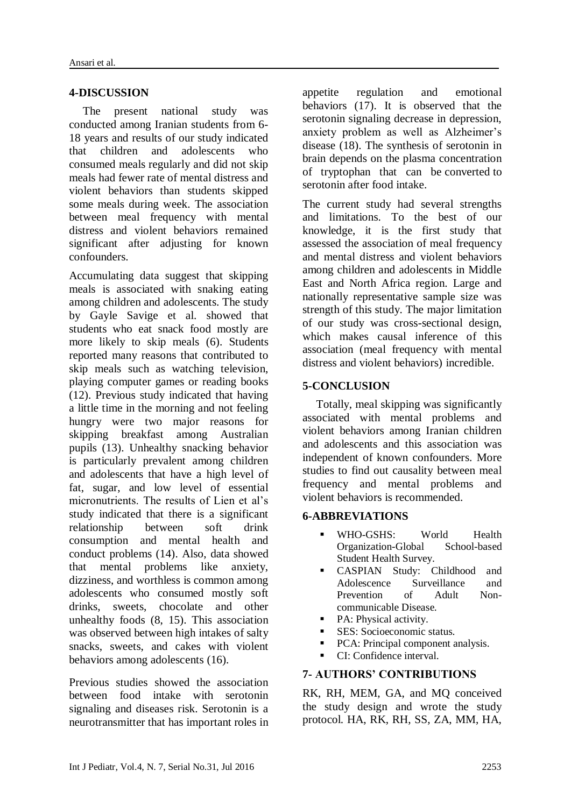## **4-DISCUSSION**

The present national study was conducted among Iranian students from 6- 18 years and results of our study indicated that children and adolescents who consumed meals regularly and did not skip meals had fewer rate of mental distress and violent behaviors than students skipped some meals during week. The association between meal frequency with mental distress and violent behaviors remained significant after adjusting for known confounders.

Accumulating data suggest that skipping meals is associated with snaking eating among children and adolescents. The study by Gayle Savige et al. showed that students who eat snack food mostly are more likely to skip meals (6). Students reported many reasons that contributed to skip meals such as watching television, playing computer games or reading books (12). Previous study indicated that having a little time in the morning and not feeling hungry were two major reasons for skipping breakfast among Australian pupils (13). Unhealthy snacking behavior is particularly prevalent among children and adolescents that have a high level of fat, sugar, and low level of essential micronutrients. The results of Lien et al's study indicated that there is a significant relationship between soft drink consumption and mental health and conduct problems (14). Also, data showed that mental problems like anxiety, dizziness, and worthless is common among adolescents who consumed mostly soft drinks, sweets, chocolate and other unhealthy foods (8, 15). This association was observed between high intakes of salty snacks, sweets, and cakes with violent behaviors among adolescents (16).

Previous studies showed the association between food intake with serotonin signaling and diseases risk. Serotonin is a neurotransmitter that has important roles in appetite regulation and emotional behaviors (17). It is observed that the serotonin signaling decrease in depression, anxiety problem as well as Alzheimer's disease (18). The synthesis of serotonin in brain depends on the plasma concentration of tryptophan that can be converted to serotonin after food intake.

The current study had several strengths and limitations. To the best of our knowledge, it is the first study that assessed the association of meal frequency and mental distress and violent behaviors among children and adolescents in Middle East and North Africa region. Large and nationally representative sample size was strength of this study. The major limitation of our study was cross-sectional design, which makes causal inference of this association (meal frequency with mental distress and violent behaviors) incredible.

# **5-CONCLUSION**

Totally, meal skipping was significantly associated with mental problems and violent behaviors among Iranian children and adolescents and this association was independent of known confounders. More studies to find out causality between meal frequency and mental problems and violent behaviors is recommended.

## **6-ABBREVIATIONS**

- WHO-GSHS: World Health Organization-Global School-based Student Health Survey.
- CASPIAN Study: Childhood and Adolescence Surveillance and Prevention of Adult Noncommunicable Disease.
- PA: Physical activity.
- **SES:** Socioeconomic status.
- PCA: Principal component analysis.
- CI: Confidence interval.

## **7- AUTHORS' CONTRIBUTIONS**

RK, RH, MEM, GA, and MQ conceived the study design and wrote the study protocol. HA, RK, RH, SS, ZA, MM, HA,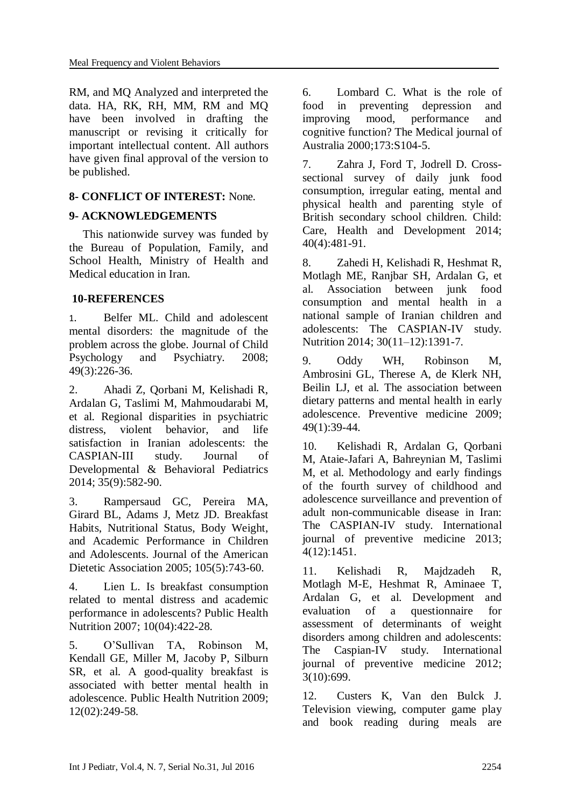RM, and MQ Analyzed and interpreted the data. HA, RK, RH, MM, RM and MQ have been involved in drafting the manuscript or revising it critically for important intellectual content. All authors have given final approval of the version to be published.

# **8- CONFLICT OF INTEREST:** None.

# **9- ACKNOWLEDGEMENTS**

This nationwide survey was funded by the Bureau of Population, Family, and School Health, Ministry of Health and Medical education in Iran.

## **10-REFERENCES**

1. Belfer ML. Child and adolescent mental disorders: the magnitude of the problem across the globe. Journal of Child Psychology and Psychiatry. 2008; 49(3):226-36.

2. Ahadi Z, Qorbani M, Kelishadi R, Ardalan G, Taslimi M, Mahmoudarabi M, et al. Regional disparities in psychiatric distress, violent behavior, and life satisfaction in Iranian adolescents: the CASPIAN-III study. Journal of Developmental & Behavioral Pediatrics 2014; 35(9):582-90.

3. Rampersaud GC, Pereira MA, Girard BL, Adams J, Metz JD. Breakfast Habits, Nutritional Status, Body Weight, and Academic Performance in Children and Adolescents. Journal of the American Dietetic Association 2005; 105(5):743-60.

4. Lien L. Is breakfast consumption related to mental distress and academic performance in adolescents? Public Health Nutrition 2007; 10(04):422-28.

5. O'Sullivan TA, Robinson M, Kendall GE, Miller M, Jacoby P, Silburn SR, et al. A good-quality breakfast is associated with better mental health in adolescence. Public Health Nutrition 2009; 12(02):249-58.

6. Lombard C. What is the role of food in preventing depression and improving mood, performance and cognitive function? The Medical journal of Australia 2000;173:S104-5.

7. Zahra J, Ford T, Jodrell D. Crosssectional survey of daily junk food consumption, irregular eating, mental and physical health and parenting style of British secondary school children. Child: Care, Health and Development 2014; 40(4):481-91.

8. Zahedi H, Kelishadi R, Heshmat R, Motlagh ME, Ranjbar SH, Ardalan G, et al. Association between junk food consumption and mental health in a national sample of Iranian children and adolescents: The CASPIAN-IV study. Nutrition 2014; 30(11–12):1391-7.

9. Oddy WH, Robinson M, Ambrosini GL, Therese A, de Klerk NH, Beilin LJ, et al. The association between dietary patterns and mental health in early adolescence. Preventive medicine 2009; 49(1):39-44.

10. Kelishadi R, Ardalan G, Qorbani M, Ataie-Jafari A, Bahreynian M, Taslimi M, et al. Methodology and early findings of the fourth survey of childhood and adolescence surveillance and prevention of adult non-communicable disease in Iran: The CASPIAN-IV study. International journal of preventive medicine 2013; 4(12):1451.

11. Kelishadi R, Majdzadeh R, Motlagh M-E, Heshmat R, Aminaee T, Ardalan G, et al. Development and evaluation of a questionnaire for assessment of determinants of weight disorders among children and adolescents: The Caspian-IV study. International journal of preventive medicine 2012; 3(10):699.

12. Custers K, Van den Bulck J. Television viewing, computer game play and book reading during meals are